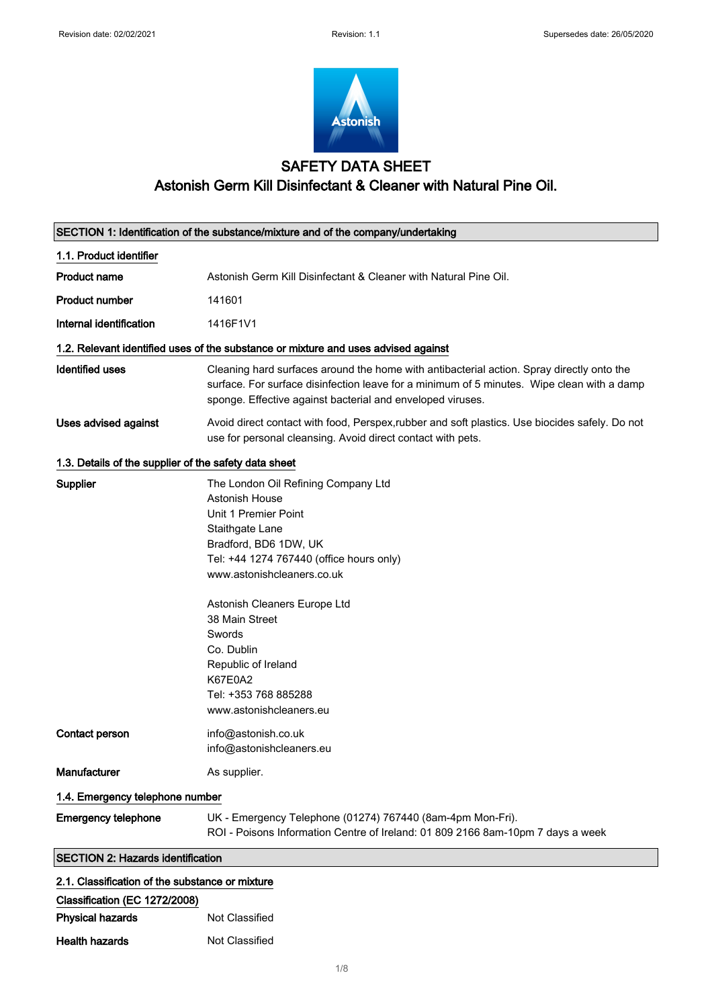

# SAFETY DATA SHEET Astonish Germ Kill Disinfectant & Cleaner with Natural Pine Oil.

|                                                       | SECTION 1: Identification of the substance/mixture and of the company/undertaking                                                                                                                                                                                                                                                                                         |  |
|-------------------------------------------------------|---------------------------------------------------------------------------------------------------------------------------------------------------------------------------------------------------------------------------------------------------------------------------------------------------------------------------------------------------------------------------|--|
| 1.1. Product identifier                               |                                                                                                                                                                                                                                                                                                                                                                           |  |
| Product name                                          | Astonish Germ Kill Disinfectant & Cleaner with Natural Pine Oil.                                                                                                                                                                                                                                                                                                          |  |
| Product number                                        | 141601                                                                                                                                                                                                                                                                                                                                                                    |  |
| Internal identification                               | 1416F1V1                                                                                                                                                                                                                                                                                                                                                                  |  |
|                                                       | 1.2. Relevant identified uses of the substance or mixture and uses advised against                                                                                                                                                                                                                                                                                        |  |
| <b>Identified uses</b>                                | Cleaning hard surfaces around the home with antibacterial action. Spray directly onto the<br>surface. For surface disinfection leave for a minimum of 5 minutes. Wipe clean with a damp<br>sponge. Effective against bacterial and enveloped viruses.                                                                                                                     |  |
| Uses advised against                                  | Avoid direct contact with food, Perspex, rubber and soft plastics. Use biocides safely. Do not<br>use for personal cleansing. Avoid direct contact with pets.                                                                                                                                                                                                             |  |
| 1.3. Details of the supplier of the safety data sheet |                                                                                                                                                                                                                                                                                                                                                                           |  |
| <b>Supplier</b>                                       | The London Oil Refining Company Ltd<br>Astonish House<br>Unit 1 Premier Point<br>Staithgate Lane<br>Bradford, BD6 1DW, UK<br>Tel: +44 1274 767440 (office hours only)<br>www.astonishcleaners.co.uk<br>Astonish Cleaners Europe Ltd<br>38 Main Street<br>Swords<br>Co. Dublin<br>Republic of Ireland<br><b>K67E0A2</b><br>Tel: +353 768 885288<br>www.astonishcleaners.eu |  |
| Contact person                                        | info@astonish.co.uk<br>info@astonishcleaners.eu                                                                                                                                                                                                                                                                                                                           |  |
| Manufacturer                                          | As supplier.                                                                                                                                                                                                                                                                                                                                                              |  |
| 1.4. Emergency telephone number                       |                                                                                                                                                                                                                                                                                                                                                                           |  |
| <b>Emergency telephone</b>                            | UK - Emergency Telephone (01274) 767440 (8am-4pm Mon-Fri).<br>ROI - Poisons Information Centre of Ireland: 01 809 2166 8am-10pm 7 days a week                                                                                                                                                                                                                             |  |
| <b>SECTION 2: Hazards identification</b>              |                                                                                                                                                                                                                                                                                                                                                                           |  |
| 2.1. Classification of the substance or mixture       |                                                                                                                                                                                                                                                                                                                                                                           |  |
| Classification (EC 1272/2008)                         |                                                                                                                                                                                                                                                                                                                                                                           |  |
| <b>Physical hazards</b>                               | Not Classified                                                                                                                                                                                                                                                                                                                                                            |  |

| <b>Not Classified</b> |
|-----------------------|
|                       |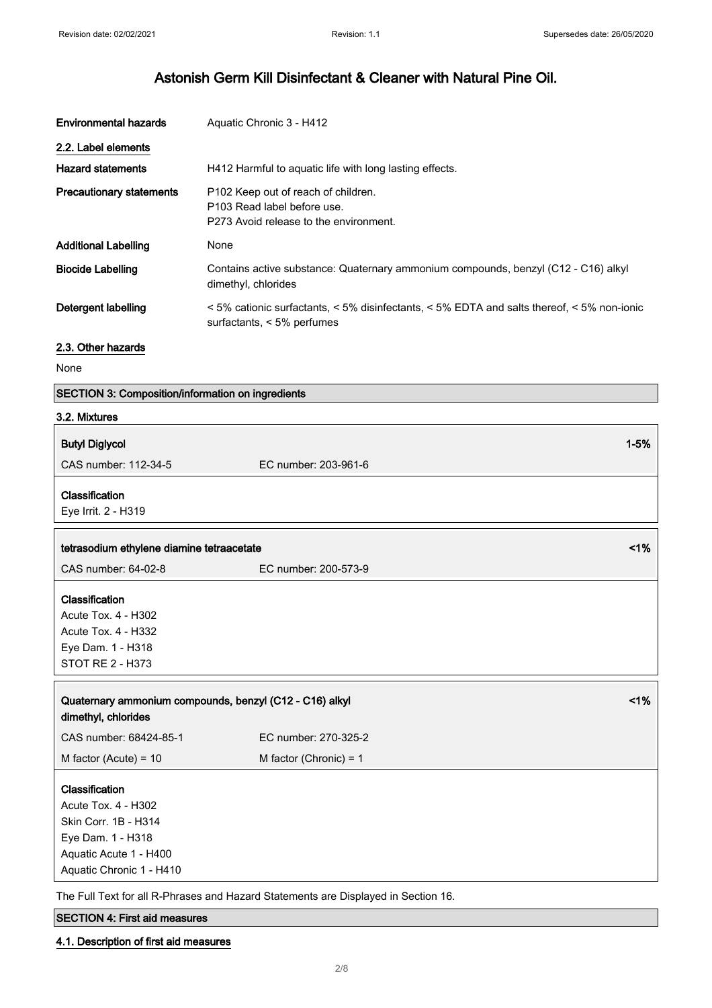| <b>Environmental hazards</b>    | Aquatic Chronic 3 - H412                                                                                                                           |
|---------------------------------|----------------------------------------------------------------------------------------------------------------------------------------------------|
| 2.2. Label elements             |                                                                                                                                                    |
| <b>Hazard statements</b>        | H412 Harmful to aquatic life with long lasting effects.                                                                                            |
| <b>Precautionary statements</b> | P <sub>102</sub> Keep out of reach of children.<br>P103 Read label before use.<br>P273 Avoid release to the environment.                           |
| <b>Additional Labelling</b>     | None                                                                                                                                               |
| <b>Biocide Labelling</b>        | Contains active substance: Quaternary ammonium compounds, benzyl (C12 - C16) alkyl<br>dimethyl, chlorides                                          |
| Detergent labelling             | $\leq$ 5% cationic surfactants, $\leq$ 5% disinfectants, $\leq$ 5% EDTA and salts thereof, $\leq$ 5% non-ionic<br>surfactants, $\leq 5\%$ perfumes |

#### 2.3. Other hazards

None

|  | <b>SECTION 3: Composition/information on ingredients</b> |
|--|----------------------------------------------------------|
|--|----------------------------------------------------------|

| 3.2. Mixtures                                                                                                                            |                          |          |
|------------------------------------------------------------------------------------------------------------------------------------------|--------------------------|----------|
| <b>Butyl Diglycol</b>                                                                                                                    |                          | $1 - 5%$ |
| CAS number: 112-34-5                                                                                                                     | EC number: 203-961-6     |          |
| Classification<br>Eye Irrit. 2 - H319                                                                                                    |                          |          |
| tetrasodium ethylene diamine tetraacetate                                                                                                |                          | 1%       |
| CAS number: 64-02-8                                                                                                                      | EC number: 200-573-9     |          |
| Classification<br>Acute Tox. 4 - H302<br>Acute Tox. 4 - H332<br>Eye Dam. 1 - H318<br>STOT RE 2 - H373                                    |                          |          |
| Quaternary ammonium compounds, benzyl (C12 - C16) alkyl<br>dimethyl, chlorides                                                           |                          | 1%       |
| CAS number: 68424-85-1                                                                                                                   | EC number: 270-325-2     |          |
| M factor (Acute) = $10$                                                                                                                  | M factor (Chronic) = $1$ |          |
| Classification<br>Acute Tox. 4 - H302<br>Skin Corr. 1B - H314<br>Eye Dam. 1 - H318<br>Aquatic Acute 1 - H400<br>Aquatic Chronic 1 - H410 |                          |          |

The Full Text for all R-Phrases and Hazard Statements are Displayed in Section 16.

#### SECTION 4: First aid measures

#### 4.1. Description of first aid measures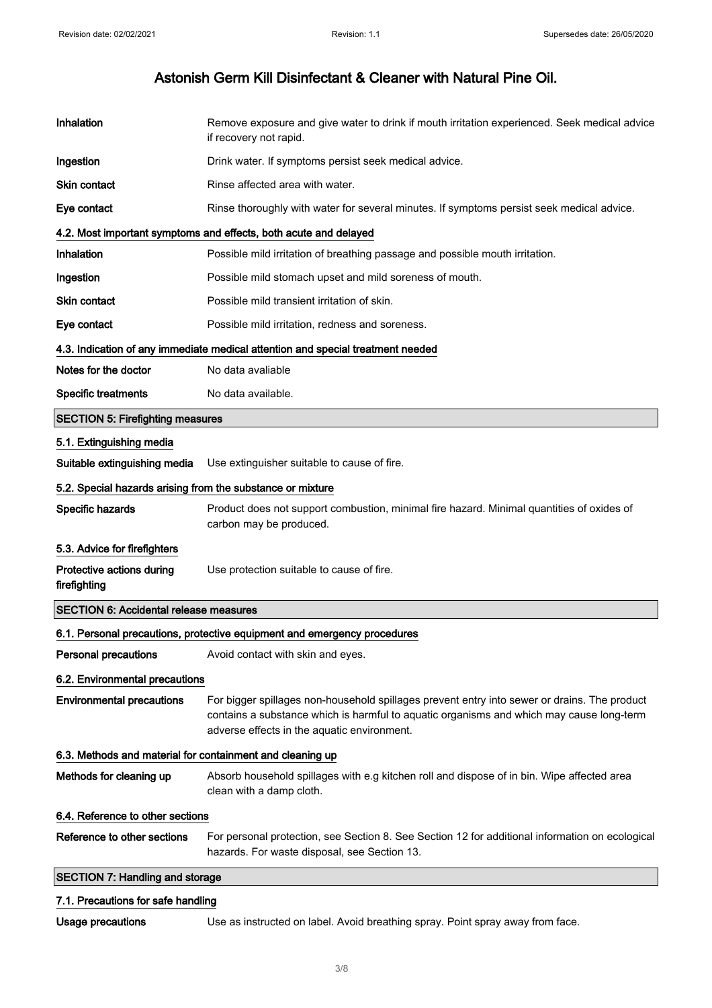| Inhalation                                                 | Remove exposure and give water to drink if mouth irritation experienced. Seek medical advice<br>if recovery not rapid.                                                                                                                  |  |
|------------------------------------------------------------|-----------------------------------------------------------------------------------------------------------------------------------------------------------------------------------------------------------------------------------------|--|
| Ingestion                                                  | Drink water. If symptoms persist seek medical advice.                                                                                                                                                                                   |  |
| <b>Skin contact</b>                                        | Rinse affected area with water.                                                                                                                                                                                                         |  |
| Eye contact                                                | Rinse thoroughly with water for several minutes. If symptoms persist seek medical advice.                                                                                                                                               |  |
|                                                            | 4.2. Most important symptoms and effects, both acute and delayed                                                                                                                                                                        |  |
| Inhalation                                                 | Possible mild irritation of breathing passage and possible mouth irritation.                                                                                                                                                            |  |
| Ingestion                                                  | Possible mild stomach upset and mild soreness of mouth.                                                                                                                                                                                 |  |
| <b>Skin contact</b>                                        | Possible mild transient irritation of skin.                                                                                                                                                                                             |  |
| Eye contact                                                | Possible mild irritation, redness and soreness.                                                                                                                                                                                         |  |
|                                                            | 4.3. Indication of any immediate medical attention and special treatment needed                                                                                                                                                         |  |
| Notes for the doctor                                       | No data avaliable                                                                                                                                                                                                                       |  |
| <b>Specific treatments</b>                                 | No data available.                                                                                                                                                                                                                      |  |
| <b>SECTION 5: Firefighting measures</b>                    |                                                                                                                                                                                                                                         |  |
| 5.1. Extinguishing media                                   |                                                                                                                                                                                                                                         |  |
| Suitable extinguishing media                               | Use extinguisher suitable to cause of fire.                                                                                                                                                                                             |  |
| 5.2. Special hazards arising from the substance or mixture |                                                                                                                                                                                                                                         |  |
| Specific hazards                                           | Product does not support combustion, minimal fire hazard. Minimal quantities of oxides of<br>carbon may be produced.                                                                                                                    |  |
| 5.3. Advice for firefighters                               |                                                                                                                                                                                                                                         |  |
| Protective actions during<br>firefighting                  | Use protection suitable to cause of fire.                                                                                                                                                                                               |  |
| <b>SECTION 6: Accidental release measures</b>              |                                                                                                                                                                                                                                         |  |
|                                                            | 6.1. Personal precautions, protective equipment and emergency procedures                                                                                                                                                                |  |
| <b>Personal precautions</b>                                | Avoid contact with skin and eyes.                                                                                                                                                                                                       |  |
| 6.2. Environmental precautions                             |                                                                                                                                                                                                                                         |  |
| <b>Environmental precautions</b>                           | For bigger spillages non-household spillages prevent entry into sewer or drains. The product<br>contains a substance which is harmful to aquatic organisms and which may cause long-term<br>adverse effects in the aquatic environment. |  |
| 6.3. Methods and material for containment and cleaning up  |                                                                                                                                                                                                                                         |  |
| Methods for cleaning up                                    | Absorb household spillages with e.g kitchen roll and dispose of in bin. Wipe affected area<br>clean with a damp cloth.                                                                                                                  |  |
| 6.4. Reference to other sections                           |                                                                                                                                                                                                                                         |  |
| Reference to other sections                                | For personal protection, see Section 8. See Section 12 for additional information on ecological<br>hazards. For waste disposal, see Section 13.                                                                                         |  |
| <b>SECTION 7: Handling and storage</b>                     |                                                                                                                                                                                                                                         |  |
| 7.1. Precautions for safe handling                         |                                                                                                                                                                                                                                         |  |

Usage precautions Use as instructed on label. Avoid breathing spray. Point spray away from face.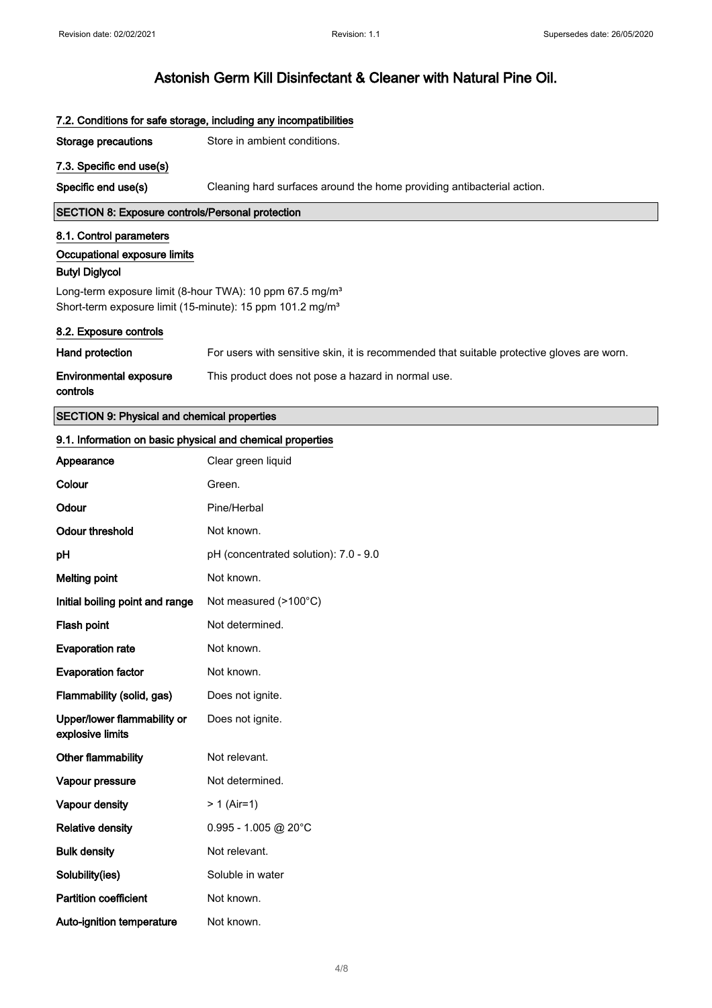| 7.2. Conditions for safe storage, including any incompatibilities     |                                                                                            |  |
|-----------------------------------------------------------------------|--------------------------------------------------------------------------------------------|--|
| <b>Storage precautions</b>                                            | Store in ambient conditions.                                                               |  |
| 7.3. Specific end use(s)                                              |                                                                                            |  |
| Specific end use(s)                                                   | Cleaning hard surfaces around the home providing antibacterial action.                     |  |
| <b>SECTION 8: Exposure controls/Personal protection</b>               |                                                                                            |  |
| 8.1. Control parameters                                               |                                                                                            |  |
| Occupational exposure limits<br><b>Butyl Diglycol</b>                 |                                                                                            |  |
| Long-term exposure limit (8-hour TWA): 10 ppm 67.5 mg/m <sup>3</sup>  |                                                                                            |  |
| Short-term exposure limit (15-minute): 15 ppm 101.2 mg/m <sup>3</sup> |                                                                                            |  |
| 8.2. Exposure controls                                                |                                                                                            |  |
| Hand protection                                                       | For users with sensitive skin, it is recommended that suitable protective gloves are worn. |  |
| <b>Environmental exposure</b><br>controls                             | This product does not pose a hazard in normal use.                                         |  |
| <b>SECTION 9: Physical and chemical properties</b>                    |                                                                                            |  |
| 9.1. Information on basic physical and chemical properties            |                                                                                            |  |
| Appearance                                                            | Clear green liquid                                                                         |  |
| Colour                                                                | Green.                                                                                     |  |
| Odour                                                                 | Pine/Herbal                                                                                |  |
| <b>Odour threshold</b>                                                | Not known.                                                                                 |  |
| рH                                                                    | pH (concentrated solution): 7.0 - 9.0                                                      |  |
| <b>Melting point</b>                                                  | Not known.                                                                                 |  |
| Initial boiling point and range                                       | Not measured (>100°C)                                                                      |  |
| Flash point                                                           | Not determined.                                                                            |  |
| <b>Evaporation rate</b>                                               | Not known.                                                                                 |  |
| <b>Evaporation factor</b>                                             | Not known.                                                                                 |  |
| Flammability (solid, gas)                                             | Does not ignite.                                                                           |  |
| Upper/lower flammability or<br>explosive limits                       | Does not ignite.                                                                           |  |
| Other flammability                                                    | Not relevant.                                                                              |  |
| Vapour pressure                                                       | Not determined.                                                                            |  |
| Vapour density                                                        | $> 1$ (Air=1)                                                                              |  |
| <b>Relative density</b>                                               | $0.995 - 1.005$ @ 20°C                                                                     |  |
| <b>Bulk density</b>                                                   | Not relevant.                                                                              |  |
| Solubility(ies)                                                       | Soluble in water                                                                           |  |
| <b>Partition coefficient</b>                                          | Not known.                                                                                 |  |
| Auto-ignition temperature                                             | Not known.                                                                                 |  |
|                                                                       |                                                                                            |  |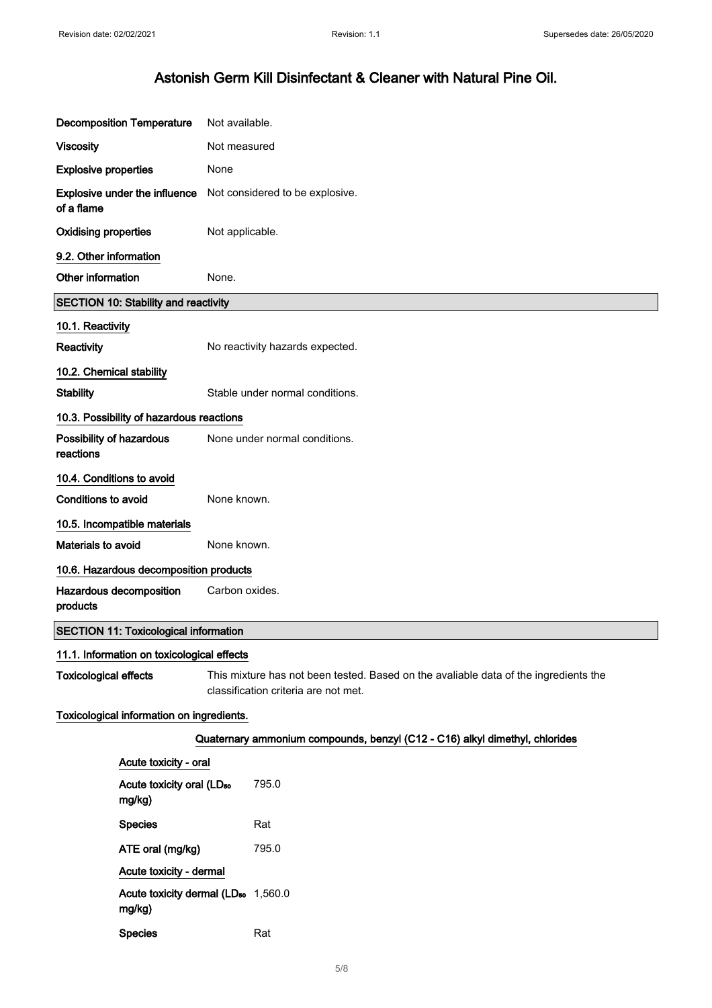| <b>Decomposition Temperature</b>      |                                                 | Not available.                                                                                                               |
|---------------------------------------|-------------------------------------------------|------------------------------------------------------------------------------------------------------------------------------|
| <b>Viscosity</b>                      |                                                 | Not measured                                                                                                                 |
| <b>Explosive properties</b>           |                                                 | None                                                                                                                         |
| of a flame                            | Explosive under the influence                   | Not considered to be explosive.                                                                                              |
| <b>Oxidising properties</b>           |                                                 | Not applicable.                                                                                                              |
| 9.2. Other information                |                                                 |                                                                                                                              |
| Other information                     |                                                 | None.                                                                                                                        |
|                                       | <b>SECTION 10: Stability and reactivity</b>     |                                                                                                                              |
| 10.1. Reactivity                      |                                                 |                                                                                                                              |
| Reactivity                            |                                                 | No reactivity hazards expected.                                                                                              |
| 10.2. Chemical stability              |                                                 |                                                                                                                              |
| <b>Stability</b>                      |                                                 | Stable under normal conditions.                                                                                              |
|                                       | 10.3. Possibility of hazardous reactions        |                                                                                                                              |
| Possibility of hazardous<br>reactions |                                                 | None under normal conditions.                                                                                                |
| 10.4. Conditions to avoid             |                                                 |                                                                                                                              |
| <b>Conditions to avoid</b>            |                                                 | None known.                                                                                                                  |
| 10.5. Incompatible materials          |                                                 |                                                                                                                              |
| Materials to avoid                    |                                                 | None known.                                                                                                                  |
|                                       | 10.6. Hazardous decomposition products          |                                                                                                                              |
| Hazardous decomposition<br>products   |                                                 | Carbon oxides.                                                                                                               |
|                                       | <b>SECTION 11: Toxicological information</b>    |                                                                                                                              |
|                                       | 11.1. Information on toxicological effects      |                                                                                                                              |
| <b>Toxicological effects</b>          |                                                 | This mixture has not been tested. Based on the avaliable data of the ingredients the<br>classification criteria are not met. |
|                                       | Toxicological information on ingredients.       |                                                                                                                              |
|                                       |                                                 | Quaternary ammonium compounds, benzyl (C12 - C16) alkyl dimethyl, chlorides                                                  |
|                                       | Acute toxicity - oral                           |                                                                                                                              |
|                                       | Acute toxicity oral (LD <sub>50</sub><br>mg/kg) | 795.0                                                                                                                        |
|                                       | <b>Species</b>                                  | Rat                                                                                                                          |
|                                       | ATE oral (mg/kg)                                | 795.0                                                                                                                        |
|                                       | Acute toxicity - dermal                         |                                                                                                                              |
|                                       | mg/kg)                                          | Acute toxicity dermal (LD <sub>50</sub> 1,560.0                                                                              |

Species Rat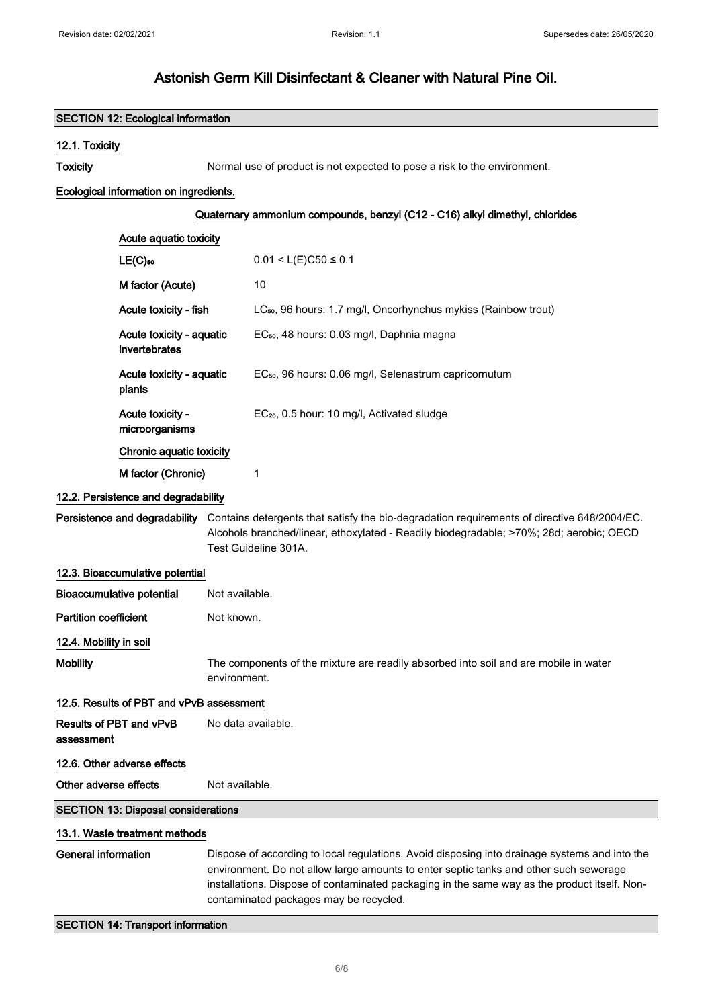## SECTION 12: Ecological information 12.1. Toxicity Toxicity Toxicity Normal use of product is not expected to pose a risk to the environment. Ecological information on ingredients. Quaternary ammonium compounds, benzyl (C12 - C16) alkyl dimethyl, chlorides Acute aquatic toxicity LE(C)<sub>50</sub> 0.01 < L(E)C50  $\leq$  0.1 M factor (Acute) 10 Acute toxicity - fish LC<sub>so</sub>, 96 hours: 1.7 mg/l, Oncorhynchus mykiss (Rainbow trout) Acute toxicity - aquatic invertebrates EC<sub>50</sub>, 48 hours: 0.03 mg/l, Daphnia magna Acute toxicity - aquatic plants EC<sub>50</sub>, 96 hours: 0.06 mg/l, Selenastrum capricornutum Acute toxicity microorganisms EC₂₀, 0.5 hour: 10 mg/l, Activated sludge Chronic aquatic toxicity M factor (Chronic) 1 12.2. Persistence and degradability Persistence and degradability Contains detergents that satisfy the bio-degradation requirements of directive 648/2004/EC. Alcohols branched/linear, ethoxylated - Readily biodegradable; >70%; 28d; aerobic; OECD Test Guideline 301A. 12.3. Bioaccumulative potential Bioaccumulative potential Not available. Partition coefficient Not known. 12.4. Mobility in soil Mobility The components of the mixture are readily absorbed into soil and are mobile in water environment. 12.5. Results of PBT and vPvB assessment Results of PBT and vPvB assessment No data available. 12.6. Other adverse effects Other adverse effects Not available. SECTION 13: Disposal considerations 13.1. Waste treatment methods General information Dispose of according to local regulations. Avoid disposing into drainage systems and into the environment. Do not allow large amounts to enter septic tanks and other such sewerage installations. Dispose of contaminated packaging in the same way as the product itself. Noncontaminated packages may be recycled. SECTION 14: Transport information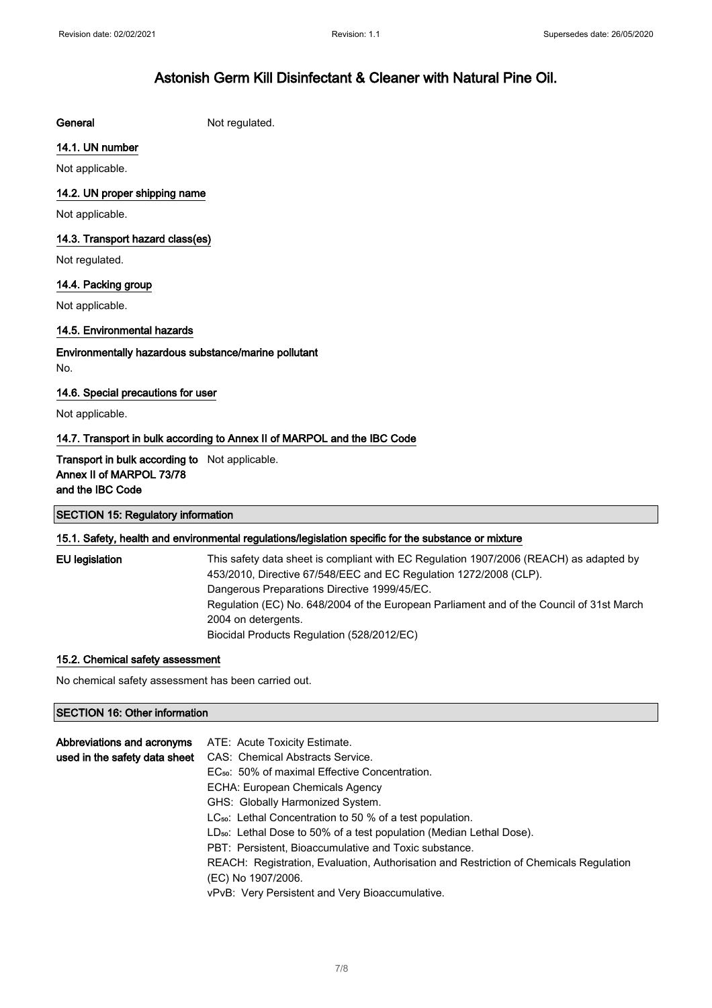General Not regulated.

#### 14.1. UN number

Not applicable.

#### 14.2. UN proper shipping name

Not applicable.

#### 14.3. Transport hazard class(es)

Not regulated.

### 14.4. Packing group

Not applicable.

#### 14.5. Environmental hazards

Environmentally hazardous substance/marine pollutant No.

#### 14.6. Special precautions for user

Not applicable.

#### 14.7. Transport in bulk according to Annex II of MARPOL and the IBC Code

#### **Transport in bulk according to** Not applicable. Annex II of MARPOL 73/78 and the IBC Code

## SECTION 15: Regulatory information 15.1. Safety, health and environmental regulations/legislation specific for the substance or mixture

| This safety data sheet is compliant with EC Regulation 1907/2006 (REACH) as adapted by   |
|------------------------------------------------------------------------------------------|
| 453/2010, Directive 67/548/EEC and EC Regulation 1272/2008 (CLP).                        |
| Dangerous Preparations Directive 1999/45/EC.                                             |
| Regulation (EC) No. 648/2004 of the European Parliament and of the Council of 31st March |
| 2004 on detergents.                                                                      |
| Biocidal Products Regulation (528/2012/EC)                                               |
|                                                                                          |

#### 15.2. Chemical safety assessment

No chemical safety assessment has been carried out.

#### SECTION 16: Other information

| Abbreviations and acronyms    | ATE: Acute Toxicity Estimate.                                                          |
|-------------------------------|----------------------------------------------------------------------------------------|
| used in the safety data sheet | CAS: Chemical Abstracts Service.                                                       |
|                               | EC <sub>50</sub> : 50% of maximal Effective Concentration.                             |
|                               | ECHA: European Chemicals Agency                                                        |
|                               | GHS: Globally Harmonized System.                                                       |
|                               | $LC_{50}$ : Lethal Concentration to 50 % of a test population.                         |
|                               | LD <sub>50</sub> : Lethal Dose to 50% of a test population (Median Lethal Dose).       |
|                               | PBT: Persistent, Bioaccumulative and Toxic substance.                                  |
|                               | REACH: Registration, Evaluation, Authorisation and Restriction of Chemicals Regulation |
|                               | (EC) No 1907/2006.                                                                     |
|                               | vPvB: Very Persistent and Very Bioaccumulative.                                        |